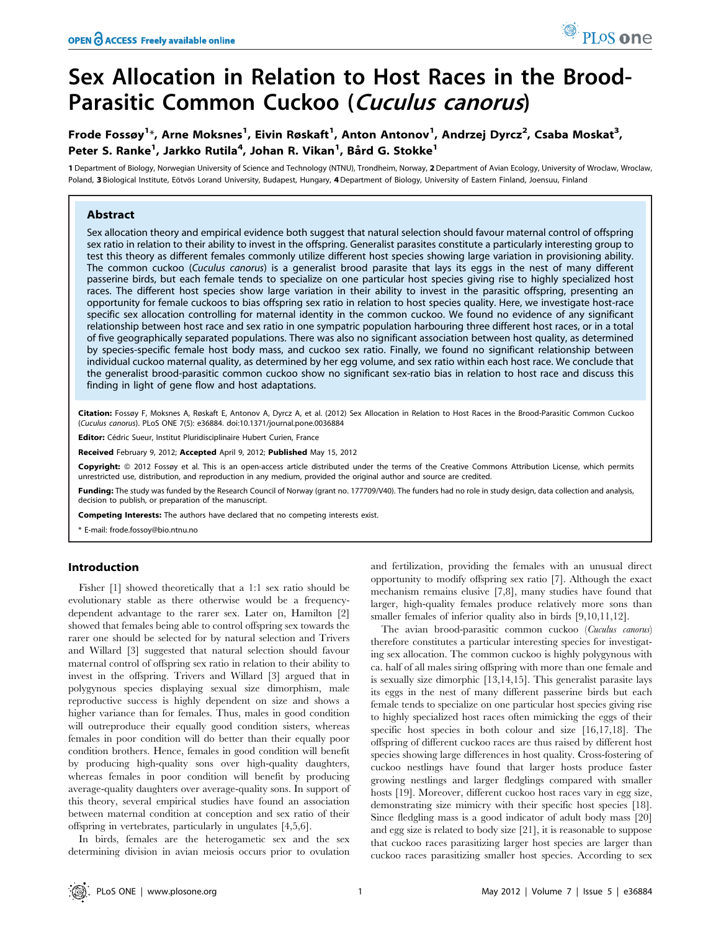# Frode Fossøy<sup>1</sup>\*, Arne Moksnes<sup>1</sup>, Eivin Røskaft<sup>1</sup>, Anton Antonov<sup>1</sup>, Andrzej Dyrcz<sup>2</sup>, Csaba Moskat<sup>3</sup>, Peter S. Ranke<sup>1</sup>, Jarkko Rutila<sup>4</sup>, Johan R. Vikan<sup>1</sup>, Bård G. Stokke<sup>1</sup>

1 Department of Biology, Norwegian University of Science and Technology (NTNU), Trondheim, Norway, 2 Department of Avian Ecology, University of Wroclaw, Wroclaw, Poland, 3 Biological Institute, Eötvös Lorand University, Budapest, Hungary, 4 Department of Biology, University of Eastern Finland, Joensuu, Finland

# Abstract

Sex allocation theory and empirical evidence both suggest that natural selection should favour maternal control of offspring sex ratio in relation to their ability to invest in the offspring. Generalist parasites constitute a particularly interesting group to test this theory as different females commonly utilize different host species showing large variation in provisioning ability. The common cuckoo (Cuculus canorus) is a generalist brood parasite that lays its eggs in the nest of many different passerine birds, but each female tends to specialize on one particular host species giving rise to highly specialized host races. The different host species show large variation in their ability to invest in the parasitic offspring, presenting an opportunity for female cuckoos to bias offspring sex ratio in relation to host species quality. Here, we investigate host-race specific sex allocation controlling for maternal identity in the common cuckoo. We found no evidence of any significant relationship between host race and sex ratio in one sympatric population harbouring three different host races, or in a total of five geographically separated populations. There was also no significant association between host quality, as determined by species-specific female host body mass, and cuckoo sex ratio. Finally, we found no significant relationship between individual cuckoo maternal quality, as determined by her egg volume, and sex ratio within each host race. We conclude that the generalist brood-parasitic common cuckoo show no significant sex-ratio bias in relation to host race and discuss this finding in light of gene flow and host adaptations.

Citation: Fossøy F, Moksnes A, Røskaft E, Antonov A, Dyrcz A, et al. (2012) Sex Allocation in Relation to Host Races in the Brood-Parasitic Common Cuckoo (Cuculus canorus). PLoS ONE 7(5): e36884. doi:10.1371/journal.pone.0036884

Editor: Cédric Sueur, Institut Pluridisciplinaire Hubert Curien, France

Received February 9, 2012; Accepted April 9, 2012; Published May 15, 2012

**Copyright:** © 2012 Fossøy et al. This is an open-access article distributed under the terms of the Creative Commons Attribution License, which permits unrestricted use, distribution, and reproduction in any medium, provided the original author and source are credited.

Funding: The study was funded by the Research Council of Norway (grant no. 177709/V40). The funders had no role in study design, data collection and analysis, decision to publish, or preparation of the manuscript.

Competing Interests: The authors have declared that no competing interests exist.

\* E-mail: frode.fossoy@bio.ntnu.no

# Introduction

Fisher [1] showed theoretically that a 1:1 sex ratio should be evolutionary stable as there otherwise would be a frequencydependent advantage to the rarer sex. Later on, Hamilton [2] showed that females being able to control offspring sex towards the rarer one should be selected for by natural selection and Trivers and Willard [3] suggested that natural selection should favour maternal control of offspring sex ratio in relation to their ability to invest in the offspring. Trivers and Willard [3] argued that in polygynous species displaying sexual size dimorphism, male reproductive success is highly dependent on size and shows a higher variance than for females. Thus, males in good condition will outreproduce their equally good condition sisters, whereas females in poor condition will do better than their equally poor condition brothers. Hence, females in good condition will benefit by producing high-quality sons over high-quality daughters, whereas females in poor condition will benefit by producing average-quality daughters over average-quality sons. In support of this theory, several empirical studies have found an association between maternal condition at conception and sex ratio of their offspring in vertebrates, particularly in ungulates [4,5,6].

In birds, females are the heterogametic sex and the sex determining division in avian meiosis occurs prior to ovulation

and fertilization, providing the females with an unusual direct opportunity to modify offspring sex ratio [7]. Although the exact mechanism remains elusive [7,8], many studies have found that larger, high-quality females produce relatively more sons than smaller females of inferior quality also in birds [9,10,11,12].

PLoS one

The avian brood-parasitic common cuckoo (Cuculus canorus) therefore constitutes a particular interesting species for investigating sex allocation. The common cuckoo is highly polygynous with ca. half of all males siring offspring with more than one female and is sexually size dimorphic [13,14,15]. This generalist parasite lays its eggs in the nest of many different passerine birds but each female tends to specialize on one particular host species giving rise to highly specialized host races often mimicking the eggs of their specific host species in both colour and size [16,17,18]. The offspring of different cuckoo races are thus raised by different host species showing large differences in host quality. Cross-fostering of cuckoo nestlings have found that larger hosts produce faster growing nestlings and larger fledglings compared with smaller hosts [19]. Moreover, different cuckoo host races vary in egg size, demonstrating size mimicry with their specific host species [18]. Since fledgling mass is a good indicator of adult body mass [20] and egg size is related to body size [21], it is reasonable to suppose that cuckoo races parasitizing larger host species are larger than cuckoo races parasitizing smaller host species. According to sex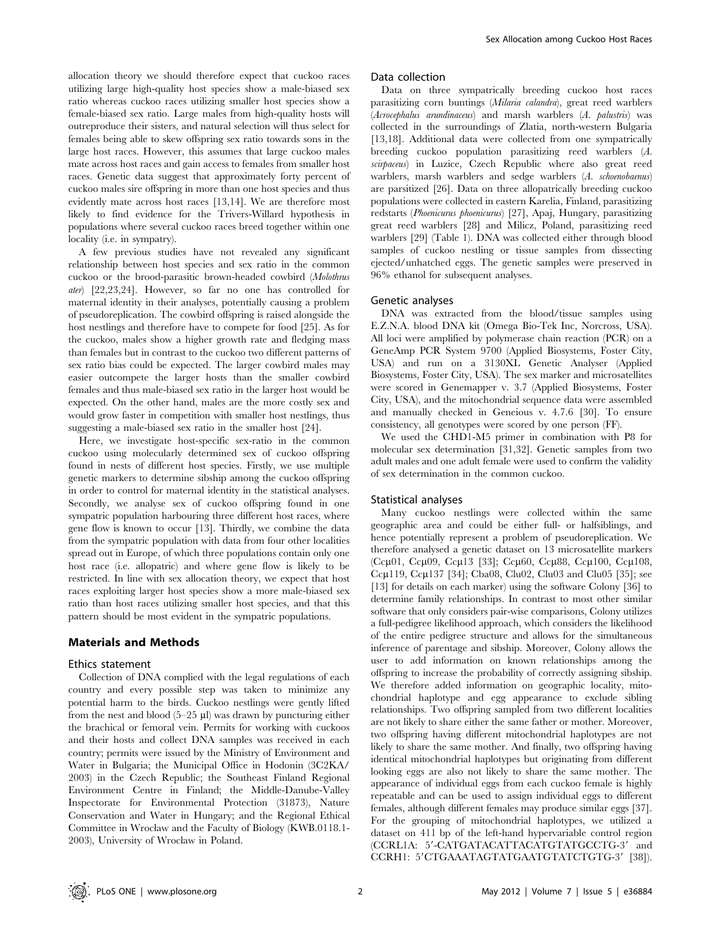allocation theory we should therefore expect that cuckoo races utilizing large high-quality host species show a male-biased sex ratio whereas cuckoo races utilizing smaller host species show a female-biased sex ratio. Large males from high-quality hosts will outreproduce their sisters, and natural selection will thus select for females being able to skew offspring sex ratio towards sons in the large host races. However, this assumes that large cuckoo males mate across host races and gain access to females from smaller host races. Genetic data suggest that approximately forty percent of cuckoo males sire offspring in more than one host species and thus evidently mate across host races [13,14]. We are therefore most likely to find evidence for the Trivers-Willard hypothesis in populations where several cuckoo races breed together within one locality (i.e. in sympatry).

A few previous studies have not revealed any significant relationship between host species and sex ratio in the common cuckoo or the brood-parasitic brown-headed cowbird (Molothrus ater) [22,23,24]. However, so far no one has controlled for maternal identity in their analyses, potentially causing a problem of pseudoreplication. The cowbird offspring is raised alongside the host nestlings and therefore have to compete for food [25]. As for the cuckoo, males show a higher growth rate and fledging mass than females but in contrast to the cuckoo two different patterns of sex ratio bias could be expected. The larger cowbird males may easier outcompete the larger hosts than the smaller cowbird females and thus male-biased sex ratio in the larger host would be expected. On the other hand, males are the more costly sex and would grow faster in competition with smaller host nestlings, thus suggesting a male-biased sex ratio in the smaller host [24].

Here, we investigate host-specific sex-ratio in the common cuckoo using molecularly determined sex of cuckoo offspring found in nests of different host species. Firstly, we use multiple genetic markers to determine sibship among the cuckoo offspring in order to control for maternal identity in the statistical analyses. Secondly, we analyse sex of cuckoo offspring found in one sympatric population harbouring three different host races, where gene flow is known to occur [13]. Thirdly, we combine the data from the sympatric population with data from four other localities spread out in Europe, of which three populations contain only one host race (i.e. allopatric) and where gene flow is likely to be restricted. In line with sex allocation theory, we expect that host races exploiting larger host species show a more male-biased sex ratio than host races utilizing smaller host species, and that this pattern should be most evident in the sympatric populations.

# Materials and Methods

#### Ethics statement

Collection of DNA complied with the legal regulations of each country and every possible step was taken to minimize any potential harm to the birds. Cuckoo nestlings were gently lifted from the nest and blood  $(5-25 \mu l)$  was drawn by puncturing either the brachical or femoral vein. Permits for working with cuckoos and their hosts and collect DNA samples was received in each country; permits were issued by the Ministry of Environment and Water in Bulgaria; the Municipal Office in Hodonin (3C2KA/ 2003) in the Czech Republic; the Southeast Finland Regional Environment Centre in Finland; the Middle-Danube-Valley Inspectorate for Environmental Protection (31873), Nature Conservation and Water in Hungary; and the Regional Ethical Committee in Wrocław and the Faculty of Biology (KWB.0118.1- 2003), University of Wrocław in Poland.

#### Data collection

Data on three sympatrically breeding cuckoo host races parasitizing corn buntings (Milaria calandra), great reed warblers (Acrocephalus arundinaceus) and marsh warblers (A. palustris) was collected in the surroundings of Zlatia, north-western Bulgaria [13,18]. Additional data were collected from one sympatrically breeding cuckoo population parasitizing reed warblers (A. scirpaceus) in Luzice, Czech Republic where also great reed warblers, marsh warblers and sedge warblers (A. schoenobaenus) are parsitized [26]. Data on three allopatrically breeding cuckoo populations were collected in eastern Karelia, Finland, parasitizing redstarts (Phoenicurus phoenicurus) [27], Apaj, Hungary, parasitizing great reed warblers [28] and Milicz, Poland, parasitizing reed warblers [29] (Table 1). DNA was collected either through blood samples of cuckoo nestling or tissue samples from dissecting ejected/unhatched eggs. The genetic samples were preserved in 96% ethanol for subsequent analyses.

#### Genetic analyses

DNA was extracted from the blood/tissue samples using E.Z.N.A. blood DNA kit (Omega Bio-Tek Inc, Norcross, USA). All loci were amplified by polymerase chain reaction (PCR) on a GeneAmp PCR System 9700 (Applied Biosystems, Foster City, USA) and run on a 3130XL Genetic Analyser (Applied Biosystems, Foster City, USA). The sex marker and microsatellites were scored in Genemapper v. 3.7 (Applied Biosystems, Foster City, USA), and the mitochondrial sequence data were assembled and manually checked in Geneious v. 4.7.6 [30]. To ensure consistency, all genotypes were scored by one person (FF).

We used the CHD1-M5 primer in combination with P8 for molecular sex determination [31,32]. Genetic samples from two adult males and one adult female were used to confirm the validity of sex determination in the common cuckoo.

## Statistical analyses

Many cuckoo nestlings were collected within the same geographic area and could be either full- or halfsiblings, and hence potentially represent a problem of pseudoreplication. We therefore analysed a genetic dataset on 13 microsatellite markers (Ссµ01, Ссµ09, Ссµ13 [33]; Ссµ60, Ссµ88, Ссµ100, Ссµ108, Cc $\mu$ 119, Cc $\mu$ 137 [34]; Cba08, Clu02, Clu03 and Clu05 [35]; see [13] for details on each marker) using the software Colony [36] to determine family relationships. In contrast to most other similar software that only considers pair-wise comparisons, Colony utilizes a full-pedigree likelihood approach, which considers the likelihood of the entire pedigree structure and allows for the simultaneous inference of parentage and sibship. Moreover, Colony allows the user to add information on known relationships among the offspring to increase the probability of correctly assigning sibship. We therefore added information on geographic locality, mitochondrial haplotype and egg appearance to exclude sibling relationships. Two offspring sampled from two different localities are not likely to share either the same father or mother. Moreover, two offspring having different mitochondrial haplotypes are not likely to share the same mother. And finally, two offspring having identical mitochondrial haplotypes but originating from different looking eggs are also not likely to share the same mother. The appearance of individual eggs from each cuckoo female is highly repeatable and can be used to assign individual eggs to different females, although different females may produce similar eggs [37]. For the grouping of mitochondrial haplotypes, we utilized a dataset on 411 bp of the left-hand hypervariable control region (CCRL1A: 5'-CATGATACATTACATGTATGCCTG-3' and CCRH1: 5'CTGAAATAGTATGAATGTATCTGTG-3' [38]).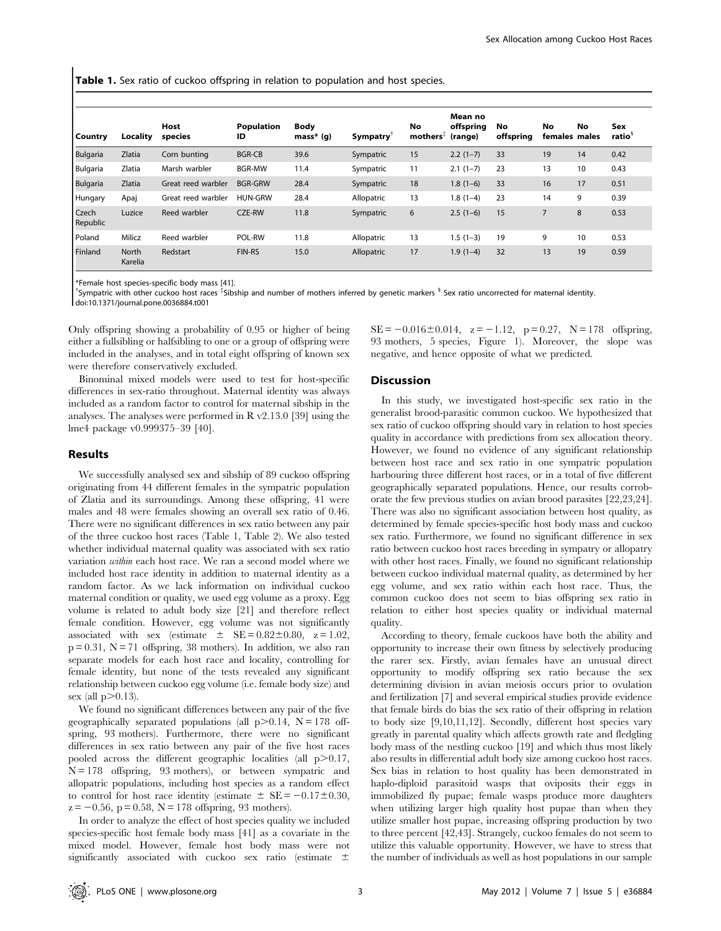**Table 1.** Sex ratio of cuckoo offspring in relation to population and host species.

|                   |                  |                    |                         |                            |            |                                             | Mean no              |                 |                      |    |                           |
|-------------------|------------------|--------------------|-------------------------|----------------------------|------------|---------------------------------------------|----------------------|-----------------|----------------------|----|---------------------------|
| Country           | Locality         | Host<br>species    | <b>Population</b><br>ID | <b>Body</b><br>$mass* (g)$ | Sympatry   | No<br>$\blacksquare$ mothers $\mathfrak{F}$ | offspring<br>(range) | No<br>offspring | No.<br>females males | No | Sex<br>ratio <sup>s</sup> |
| <b>Bulgaria</b>   | Zlatia           | Corn bunting       | <b>BGR-CB</b>           | 39.6                       | Sympatric  | 15                                          | $2.2(1-7)$           | 33              | 19                   | 14 | 0.42                      |
| Bulgaria          | Zlatia           | Marsh warbler      | <b>BGR-MW</b>           | 11.4                       | Sympatric  | 11                                          | $2.1(1-7)$           | 23              | 13                   | 10 | 0.43                      |
| Bulgaria          | <b>Zlatia</b>    | Great reed warbler | <b>BGR-GRW</b>          | 28.4                       | Sympatric  | 18                                          | $1.8(1-6)$           | 33              | 16                   | 17 | 0.51                      |
| Hungary           | Apaj             | Great reed warbler | <b>HUN-GRW</b>          | 28.4                       | Allopatric | 13                                          | $1.8(1-4)$           | 23              | 14                   | 9  | 0.39                      |
| Czech<br>Republic | Luzice           | Reed warbler       | CZE-RW                  | 11.8                       | Sympatric  | 6                                           | $2.5(1-6)$           | 15              | 7                    | 8  | 0.53                      |
| Poland            | Milicz           | Reed warbler       | POL-RW                  | 11.8                       | Allopatric | 13                                          | $1.5(1-3)$           | 19              | 9                    | 10 | 0.53                      |
| Finland           | North<br>Karelia | Redstart           | <b>FIN-RS</b>           | 15.0                       | Allopatric | 17                                          | $1.9(1-4)$           | 32              | 13                   | 19 | 0.59                      |

\*Female host species-specific body mass [41].

<sup>†</sup>Sympatric with other cuckoo host races <sup>‡</sup>Sibship and number of mothers inferred by genetic markers <sup>§</sup> Sex ratio uncorrected for maternal identity.

doi:10.1371/journal.pone.0036884.t001

Only offspring showing a probability of 0.95 or higher of being either a fullsibling or halfsibling to one or a group of offspring were included in the analyses, and in total eight offspring of known sex were therefore conservatively excluded.

Binominal mixed models were used to test for host-specific differences in sex-ratio throughout. Maternal identity was always included as a random factor to control for maternal sibship in the analyses. The analyses were performed in R v2.13.0 [39] using the lme4 package v0.999375–39 [40].

# Results

We successfully analysed sex and sibship of 89 cuckoo offspring originating from 44 different females in the sympatric population of Zlatia and its surroundings. Among these offspring, 41 were males and 48 were females showing an overall sex ratio of 0.46. There were no significant differences in sex ratio between any pair of the three cuckoo host races (Table 1, Table 2). We also tested whether individual maternal quality was associated with sex ratio variation within each host race. We ran a second model where we included host race identity in addition to maternal identity as a random factor. As we lack information on individual cuckoo maternal condition or quality, we used egg volume as a proxy. Egg volume is related to adult body size [21] and therefore reflect female condition. However, egg volume was not significantly associated with sex (estimate  $\pm$  SE = 0.82 $\pm$ 0.80, z = 1.02,  $p = 0.31$ ,  $N = 71$  offspring, 38 mothers). In addition, we also ran separate models for each host race and locality, controlling for female identity, but none of the tests revealed any significant relationship between cuckoo egg volume (i.e. female body size) and sex (all  $p>0.13$ ).

We found no significant differences between any pair of the five geographically separated populations (all  $p>0.14$ ,  $N = 178$  offspring, 93 mothers). Furthermore, there were no significant differences in sex ratio between any pair of the five host races pooled across the different geographic localities (all  $p > 0.17$ , N = 178 offspring, 93 mothers), or between sympatric and allopatric populations, including host species as a random effect to control for host race identity (estimate  $\pm$  SE = -0.17 $\pm$ 0.30,  $z = -0.56$ , p = 0.58, N = 178 offspring, 93 mothers).

In order to analyze the effect of host species quality we included species-specific host female body mass [41] as a covariate in the mixed model. However, female host body mass were not significantly associated with cuckoo sex ratio (estimate  $\pm$ 

 $SE = -0.016 \pm 0.014$ ,  $z = -1.12$ ,  $p = 0.27$ ,  $N = 178$  offspring, 93 mothers, 5 species, Figure 1). Moreover, the slope was negative, and hence opposite of what we predicted.

#### **Discussion**

In this study, we investigated host-specific sex ratio in the generalist brood-parasitic common cuckoo. We hypothesized that sex ratio of cuckoo offspring should vary in relation to host species quality in accordance with predictions from sex allocation theory. However, we found no evidence of any significant relationship between host race and sex ratio in one sympatric population harbouring three different host races, or in a total of five different geographically separated populations. Hence, our results corroborate the few previous studies on avian brood parasites [22,23,24]. There was also no significant association between host quality, as determined by female species-specific host body mass and cuckoo sex ratio. Furthermore, we found no significant difference in sex ratio between cuckoo host races breeding in sympatry or allopatry with other host races. Finally, we found no significant relationship between cuckoo individual maternal quality, as determined by her egg volume, and sex ratio within each host race. Thus, the common cuckoo does not seem to bias offspring sex ratio in relation to either host species quality or individual maternal quality.

According to theory, female cuckoos have both the ability and opportunity to increase their own fitness by selectively producing the rarer sex. Firstly, avian females have an unusual direct opportunity to modify offspring sex ratio because the sex determining division in avian meiosis occurs prior to ovulation and fertilization [7] and several empirical studies provide evidence that female birds do bias the sex ratio of their offspring in relation to body size [9,10,11,12]. Secondly, different host species vary greatly in parental quality which affects growth rate and fledgling body mass of the nestling cuckoo [19] and which thus most likely also results in differential adult body size among cuckoo host races. Sex bias in relation to host quality has been demonstrated in haplo-diploid parasitoid wasps that oviposits their eggs in immobilized fly pupae; female wasps produce more daughters when utilizing larger high quality host pupae than when they utilize smaller host pupae, increasing offspring production by two to three percent [42,43]. Strangely, cuckoo females do not seem to utilize this valuable opportunity. However, we have to stress that the number of individuals as well as host populations in our sample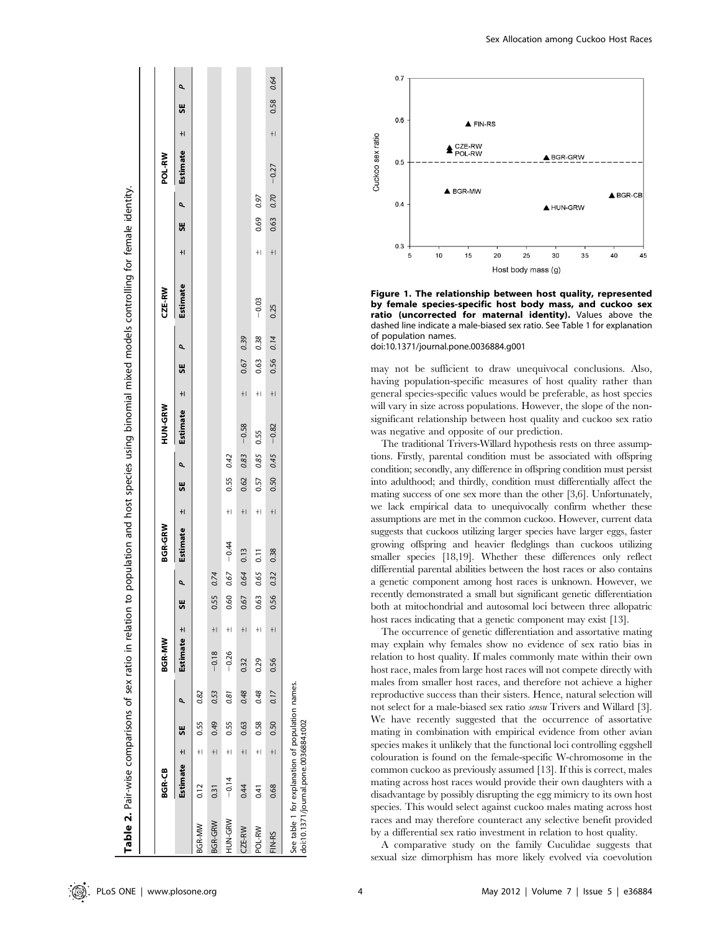| BGR-CB             |               |              | <b>BGR-MW</b> |       |                 | <b>BGR-GRW</b> |            |             | HUN-GRW               |      |      |           | CZE-RW          |      |              |                       | POL-RW     |               |           |
|--------------------|---------------|--------------|---------------|-------|-----------------|----------------|------------|-------------|-----------------------|------|------|-----------|-----------------|------|--------------|-----------------------|------------|---------------|-----------|
| Estimate ±         | 5             | ۹            | Estimate ±    |       | $\bullet$<br>5E |                | Estimate + | SE P        | Estimate $\pm$ SE $P$ |      |      |           | <b>Estimate</b> |      | $\pm$ SE $P$ |                       | Estimate ± |               | م<br>56   |
| 0.12<br>BGR-MW     | $\pm$         | 0.82<br>0.55 |               |       |                 |                |            |             |                       |      |      |           |                 |      |              |                       |            |               |           |
| 0.31<br>BGR-GRW    | $+1$          | 0.53<br>0.49 | $-0.18$       | $+1$  | 0.74<br>0.55    |                |            |             |                       |      |      |           |                 |      |              |                       |            |               |           |
| $-0.14$<br>HUN-GRW | $+1$          | 0.81<br>0.55 | $-0.26$       | $+1$  | 0.67<br>0.60    | $-0.44$        | $+1$       | 0.55 0.42   |                       |      |      |           |                 |      |              |                       |            |               |           |
| 0.44<br>CZE-RW     | $+1$          | 0.48<br>0.63 | 0.32          | $+1$  | 0.64<br>0.67    | 0.13           | $+1$       | $0.62$ 0.83 | $-0.58$               | $+1$ | 0.67 | 0.39      |                 |      |              |                       |            |               |           |
| 0.41<br>POL-RW     | $+$           | 0.48<br>0.58 | 0.29          | $\pm$ | 0.65<br>0.63    | 0.11           | $+1$       |             | 0.57 0.85 0.55        | $+1$ | 0.63 | 0.38      | $-0.03$         | $+1$ | 0.69         | 0.97                  |            |               |           |
| 0.68<br>FIN-RS     | $\frac{1}{2}$ | 0.17<br>0.50 | 0.56          | $+1$  | 0.32<br>0.56    | 0.38           | $+1$       |             | $0.50$ $0.45$ -0.82   | $+1$ |      | 0.56 0.14 | 0.25            | $+1$ |              | $0.63$ $0.70$ $-0.27$ |            | $\frac{1}{2}$ | 0.58 0.64 |



Figure 1. The relationship between host quality, represented by female species-specific host body mass, and cuckoo sex ratio (uncorrected for maternal identity). Values above the dashed line indicate a male-biased sex ratio. See Table 1 for explanation of population names. doi:10.1371/journal.pone.0036884.g001

may not be sufficient to draw unequivocal conclusions. Also, having population-specific measures of host quality rather than general species-specific values would be preferable, as host species will vary in size across populations. However, the slope of the nonsignificant relationship between host quality and cuckoo sex ratio was negative and opposite of our prediction.

The traditional Trivers-Willard hypothesis rests on three assumptions. Firstly, parental condition must be associated with offspring condition; secondly, any difference in offspring condition must persist into adulthood; and thirdly, condition must differentially affect the mating success of one sex more than the other [3,6]. Unfortunately, we lack empirical data to unequivocally confirm whether these assumptions are met in the common cuckoo. However, current data suggests that cuckoos utilizing larger species have larger eggs, faster growing offspring and heavier fledglings than cuckoos utilizing smaller species [18,19]. Whether these differences only reflect differential parental abilities between the host races or also contains a genetic component among host races is unknown. However, we recently demonstrated a small but significant genetic differentiation both at mitochondrial and autosomal loci between three allopatric host races indicating that a genetic component may exist [13].

The occurrence of genetic differentiation and assortative mating may explain why females show no evidence of sex ratio bias in relation to host quality. If males commonly mate within their own host race, males from large host races will not compete directly with males from smaller host races, and therefore not achieve a higher reproductive success than their sisters. Hence, natural selection will not select for a male-biased sex ratio sensu Trivers and Willard [3]. We have recently suggested that the occurrence of assortative mating in combination with empirical evidence from other avian species makes it unlikely that the functional loci controlling eggshell colouration is found on the female-specific W-chromosome in the common cuckoo as previously assumed [13]. If this is correct, males mating across host races would provide their own daughters with a disadvantage by possibly disrupting the egg mimicry to its own host species. This would select against cuckoo males mating across host races and may therefore counteract any selective benefit provided by a differential sex ratio investment in relation to host quality.

A comparative study on the family Cuculidae suggests that sexual size dimorphism has more likely evolved via coevolution